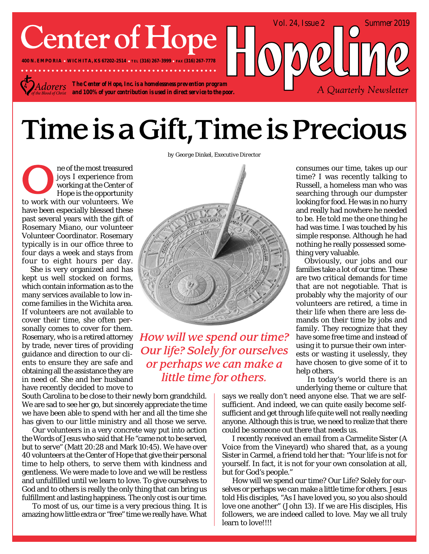# **Center of Hope**

**400 N. EMPORIA WICHITA, KS 67202-2514 TEL (316) 267-3999 FAX (316) 267-7778**

*The Center of Hope, Inc. is a homelessness prevention program* dorers *and 100% of your contribution is used in direct service to the poor.*

## Time is a Gift, Time is Precious

ne of the most treasured joys I experience from working at the Center of Hope is the opportunity to work with our volunteers. We have been especially blessed these past several years with the gift of Rosemary Miano, our volunteer Volunteer Coordinator. Rosemary typically is in our office three to four days a week and stays from four to eight hours per day.

She is very organized and has kept us well stocked on forms, which contain information as to the many services available to low income families in the Wichita area. If volunteers are not available to cover their time, she often personally comes to cover for them. Rosemary, who is a retired attorney by trade, never tires of providing guidance and direction to our clients to ensure they are safe and obtaining all the assistance they are in need of. She and her husband have recently decided to move to

South Carolina to be close to their newly born grandchild. We are sad to see her go, but sincerely appreciate the time we have been able to spend with her and all the time she has given to our little ministry and all those we serve.

 Our volunteers in a very concrete way put into action the Words of Jesus who said that He "came not to be served, but to serve" (Matt 20:28 and Mark 10:45). We have over 40 volunteers at the Center of Hope that give their personal time to help others, to serve them with kindness and gentleness. We were made to love and we will be restless and unfulfilled until we learn to love. To give ourselves to God and to others is really the only thing that can bring us fulfillment and lasting happiness. The only cost is our time.

 To most of us, our time is a very precious thing. It is amazing how little extra or "free" time we really have. What

*by George Dinkel, Executive Director*



How will we spend our time? **Our life? Solely for ourselves** or perhaps we can make a little time for others.

consumes our time, takes up our time? I was recently talking to Russell, a homeless man who was searching through our dumpster looking for food. He was in no hurry and really had nowhere he needed to be. He told me the one thing he had was time. I was touched by his simple response. Although he had nothing he really possessed something very valuable.

A Quarterly Newsletter

Vol. 24, Issue 2 Summer 2019

Obviously, our jobs and our families take a lot of our time. These are two critical demands for time that are not negotiable. That is probably why the majority of our volunteers are retired, a time in their life when there are less demands on their time by jobs and family. They recognize that they have some free time and instead of using it to pursue their own interests or wasting it uselessly, they have chosen to give some of it to help others.

 In today's world there is an underlying theme or culture that

says we really don't need anyone else. That we are selfsufficient. And indeed, we can quite easily become selfsufficient and get through life quite well not really needing anyone. Although this is true, we need to realize that there could be someone out there that needs us.

 I recently received an email from a Carmelite Sister (A Voice from the Vineyard) who shared that, as a young Sister in Carmel, a friend told her that: "Your life is not for yourself. In fact, it is not for your own consolation at all, but for God's people."

 How will we spend our time? Our Life? Solely for ourselves or perhaps we can make a little time for others. Jesus told His disciples, "As I have loved you, so you also should love one another" (John 13). If we are His disciples, His followers, we are indeed called to love. May we all truly learn to love!!!!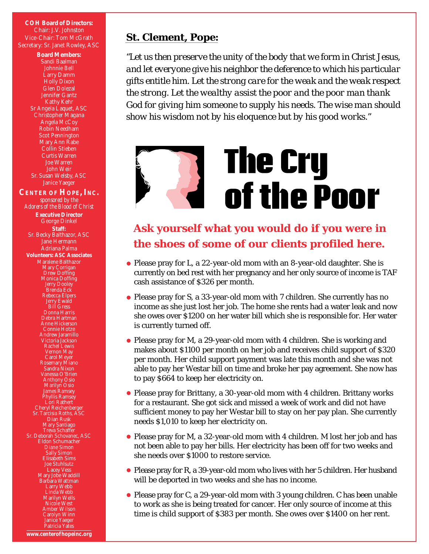**COH Board of Directors:** Chair: J.V. Johnston Vice-Chair: Tom McGrath Secretary: Sr. Janet Rowley, ASC

> **Board Members:** Sandi Baalman Johnnie Bell Larry Damm Holly Dixon Glen Dolezal Jennifer Gantz Kathy Kehr Sr Angela Laquet, ASC Christopher Magana Angela McCoy Robin Needham Scot Pennington Mary Ann Rabe Collin Stieben Curtis Warren Joe Warren John Weir Sr. Susan Welsby, ASC Janice Yaeger

**CENTER OF HOPE, INC.** *sponsored by the Adorers of the Blood of Christ* **Executive Director** George Dinkel **Staff:** Sr. Becky Balthazor, ASC Jane Hermann Adriana Palma **Volunteers: ASC Associates** Maralene Balthazor Mary Corrigan Drew Doffing Monica Doffing Jerry Dooley Brenda Eck Rebecca Elpers Jerry Ewald Bill Gress Donna Harris Debra Hartman Anne Hickerson Connie Hotze Andrew Jaramillo Victoria Jackson Rachel Lewis Vernon May Carol Meyer Rosemary Miano Sandra Nixon Vanessa O'Brien Anthony Osio Marilyn Osio James Ramsey Phyllis Ramsey Lori Rathert Cheryl Reichenberger Sr. Tarcisia Roths, ASC Dian Rusk Mary Santiago Treva Schaffer Sr. Deborah Schovanec, ASC Eldon Schumacher Diane Simon Sally Simon Elisabeth Sims Joe Stuhlsutz Lacey Vess Mary Jobe Waddill Barbara Wattman Larry Webb Linda Webb Marilyn Wells Nicole West Amber Wilson Carolyn Winn Janice Yaeger Patricia Yates

### *St. Clement, Pope:*

*"Let us then preserve the unity of the body that we form in Christ Jesus, and let everyone give his neighbor the deference to which his particular gifts entitle him. Let the strong care for the weak and the weak respect the strong. Let the wealthy assist the poor and the poor man thank God for giving him someone to supply his needs. The wise man should show his wisdom not by his eloquence but by his good works."*

# **The Cry** of the Poor

## **Ask yourself what you would do if you were in the shoes of some of our clients profiled here.**

- Please pray for L, a 22-year-old mom with an 8-year-old daughter. She is currently on bed rest with her pregnancy and her only source of income is TAF cash assistance of \$326 per month.
- Please pray for S, a 33-year-old mom with 7 children. She currently has no income as she just lost her job. The home she rents had a water leak and now she owes over \$1200 on her water bill which she is responsible for. Her water is currently turned off.
- Please pray for M, a 29-year-old mom with 4 children. She is working and makes about \$1100 per month on her job and receives child support of \$320 per month. Her child support payment was late this month and she was not able to pay her Westar bill on time and broke her pay agreement. She now has to pay \$664 to keep her electricity on.
- Please pray for Brittany, a 30-year-old mom with 4 children. Brittany works for a restaurant. She got sick and missed a week of work and did not have sufficient money to pay her Westar bill to stay on her pay plan. She currently needs \$1,010 to keep her electricity on.
- Please pray for M, a 32-year-old mom with 4 children. M lost her job and has not been able to pay her bills. Her electricity has been off for two weeks and she needs over \$1000 to restore service.
- Please pray for R, a 39-year-old mom who lives with her 5 children. Her husband will be deported in two weeks and she has no income.
- Please pray for C, a 29-year-old mom with 3 young children. C has been unable to work as she is being treated for cancer. Her only source of income at this time is child support of \$383 per month. She owes over \$1400 on her rent.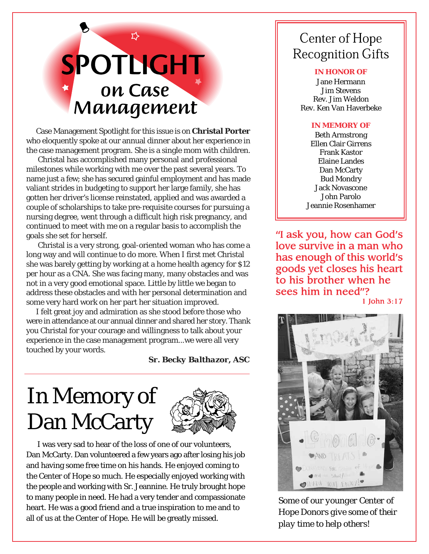# SPOTLIGHT on Case Management

Case Management Spotlight for this issue is on **Christal Porter** who eloquently spoke at our annual dinner about her experience in the case management program. She is a single mom with children.

 Christal has accomplished many personal and professional milestones while working with me over the past several years. To name just a few; she has secured gainful employment and has made valiant strides in budgeting to support her large family, she has gotten her driver's license reinstated, applied and was awarded a couple of scholarships to take pre-requisite courses for pursuing a nursing degree, went through a difficult high risk pregnancy, and continued to meet with me on a regular basis to accomplish the goals she set for herself.

 Christal is a very strong, goal-oriented woman who has come a long way and will continue to do more. When I first met Christal she was barely getting by working at a home health agency for \$12 per hour as a CNA. She was facing many, many obstacles and was not in a very good emotional space. Little by little we began to address these obstacles and with her personal determination and some very hard work on her part her situation improved.

I felt great joy and admiration as she stood before those who were in attendance at our annual dinner and shared her story. Thank you Christal for your courage and willingness to talk about your experience in the case management program...we were all very touched by your words.

*Sr. Becky Balthazor, ASC*

## In Memory of Dan McCarty



I was very sad to hear of the loss of one of our volunteers, Dan McCarty. Dan volunteered a few years ago after losing his job and having some free time on his hands. He enjoyed coming to the Center of Hope so much. He especially enjoyed working with the people and working with Sr. Jeannine. He truly brought hope to many people in need. He had a very tender and compassionate heart. He was a good friend and a true inspiration to me and to all of us at the Center of Hope. He will be greatly missed.

## **Center of Hope Recognition Gifts**

#### **IN HONOR OF**

Jane Hermann Jim Stevens Rev. Jim Weldon Rev. Ken Van Haverbeke

### **IN MEMORY OF**

Beth Armstrong Ellen Clair Girrens Frank Kastor Elaine Landes Dan McCarty Bud Mondry Jack Novascone John Parolo Jeannie Rosenhamer

"I ask you, how can God's love survive in a man who has enough of this world's goods yet closes his heart to his brother when he sees him in need"?

1 John 3:17



*Some of our younger Center of Hope Donors give some of their play time to help others!*